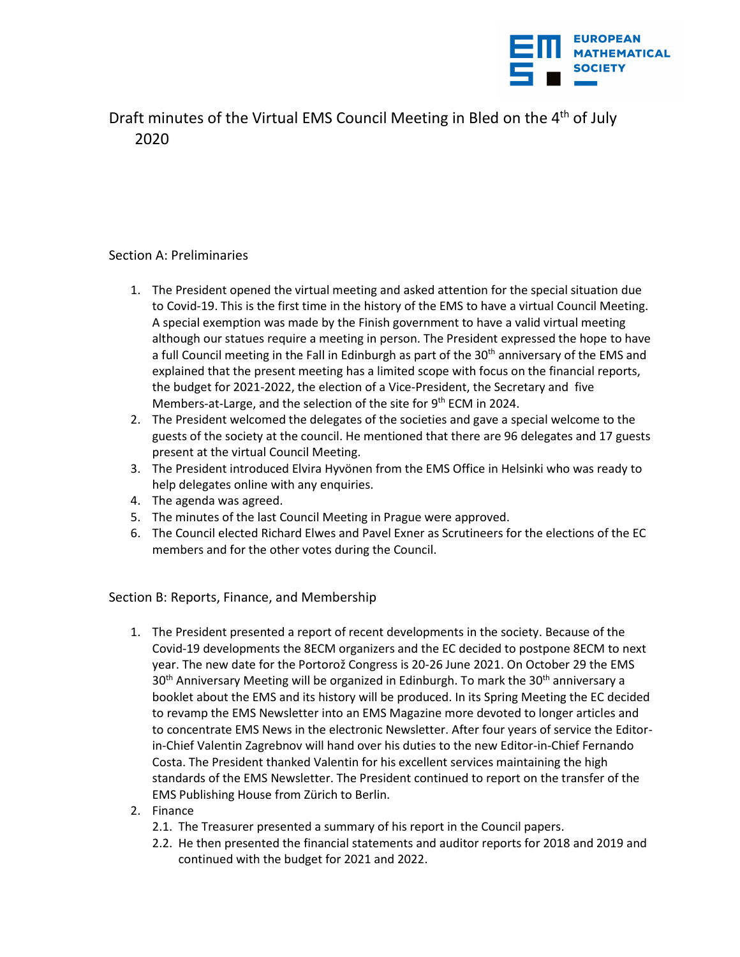

Draft minutes of the Virtual EMS Council Meeting in Bled on the 4<sup>th</sup> of July 2020

## Section A: Preliminaries

- 1. The President opened the virtual meeting and asked attention for the special situation due to Covid-19. This is the first time in the history of the EMS to have a virtual Council Meeting. A special exemption was made by the Finish government to have a valid virtual meeting although our statues require a meeting in person. The President expressed the hope to have a full Council meeting in the Fall in Edinburgh as part of the 30<sup>th</sup> anniversary of the EMS and explained that the present meeting has a limited scope with focus on the financial reports, the budget for 2021-2022, the election of a Vice-President, the Secretary and five Members-at-Large, and the selection of the site for 9<sup>th</sup> ECM in 2024.
- 2. The President welcomed the delegates of the societies and gave a special welcome to the guests of the society at the council. He mentioned that there are 96 delegates and 17 guests present at the virtual Council Meeting.
- 3. The President introduced Elvira Hyvönen from the EMS Office in Helsinki who was ready to help delegates online with any enquiries.
- 4. The agenda was agreed.
- 5. The minutes of the last Council Meeting in Prague were approved.
- 6. The Council elected Richard Elwes and Pavel Exner as Scrutineers for the elections of the EC members and for the other votes during the Council.

Section B: Reports, Finance, and Membership

- 1. The President presented a report of recent developments in the society. Because of the Covid-19 developments the 8ECM organizers and the EC decided to postpone 8ECM to next year. The new date for the Portorož Congress is 20-26 June 2021. On October 29 the EMS 30<sup>th</sup> Anniversary Meeting will be organized in Edinburgh. To mark the 30<sup>th</sup> anniversary a booklet about the EMS and its history will be produced. In its Spring Meeting the EC decided to revamp the EMS Newsletter into an EMS Magazine more devoted to longer articles and to concentrate EMS News in the electronic Newsletter. After four years of service the Editorin-Chief Valentin Zagrebnov will hand over his duties to the new Editor-in-Chief Fernando Costa. The President thanked Valentin for his excellent services maintaining the high standards of the EMS Newsletter. The President continued to report on the transfer of the EMS Publishing House from Zürich to Berlin.
- 2. Finance
	- 2.1. The Treasurer presented a summary of his report in the Council papers.
	- 2.2. He then presented the financial statements and auditor reports for 2018 and 2019 and continued with the budget for 2021 and 2022.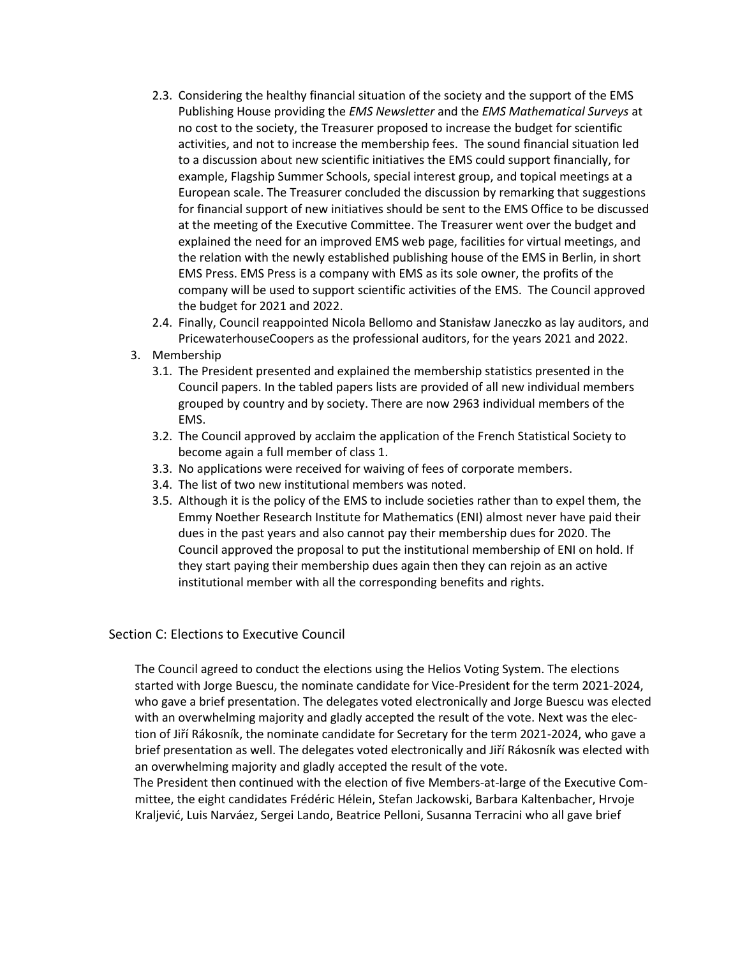- 2.3. Considering the healthy financial situation of the society and the support of the EMS Publishing House providing the *EMS Newsletter* and the *EMS Mathematical Surveys* at no cost to the society, the Treasurer proposed to increase the budget for scientific activities, and not to increase the membership fees. The sound financial situation led to a discussion about new scientific initiatives the EMS could support financially, for example, Flagship Summer Schools, special interest group, and topical meetings at a European scale. The Treasurer concluded the discussion by remarking that suggestions for financial support of new initiatives should be sent to the EMS Office to be discussed at the meeting of the Executive Committee. The Treasurer went over the budget and explained the need for an improved EMS web page, facilities for virtual meetings, and the relation with the newly established publishing house of the EMS in Berlin, in short EMS Press. EMS Press is a company with EMS as its sole owner, the profits of the company will be used to support scientific activities of the EMS. The Council approved the budget for 2021 and 2022.
- 2.4. Finally, Council reappointed Nicola Bellomo and Stanisław Janeczko as lay auditors, and PricewaterhouseCoopers as the professional auditors, for the years 2021 and 2022.
- 3. Membership
	- 3.1. The President presented and explained the membership statistics presented in the Council papers. In the tabled papers lists are provided of all new individual members grouped by country and by society. There are now 2963 individual members of the EMS.
	- 3.2. The Council approved by acclaim the application of the French Statistical Society to become again a full member of class 1.
	- 3.3. No applications were received for waiving of fees of corporate members.
	- 3.4. The list of two new institutional members was noted.
	- 3.5. Although it is the policy of the EMS to include societies rather than to expel them, the Emmy Noether Research Institute for Mathematics (ENI) almost never have paid their dues in the past years and also cannot pay their membership dues for 2020. The Council approved the proposal to put the institutional membership of ENI on hold. If they start paying their membership dues again then they can rejoin as an active institutional member with all the corresponding benefits and rights.

## Section C: Elections to Executive Council

The Council agreed to conduct the elections using the Helios Voting System. The elections started with Jorge Buescu, the nominate candidate for Vice-President for the term 2021-2024, who gave a brief presentation. The delegates voted electronically and Jorge Buescu was elected with an overwhelming majority and gladly accepted the result of the vote. Next was the election of Jiří Rákosník, the nominate candidate for Secretary for the term 2021-2024, who gave a brief presentation as well. The delegates voted electronically and Jiří Rákosník was elected with an overwhelming majority and gladly accepted the result of the vote.

The President then continued with the election of five Members-at-large of the Executive Committee, the eight candidates Frédéric Hélein, Stefan Jackowski, Barbara Kaltenbacher, Hrvoje Kraljević, Luis Narváez, Sergei Lando, Beatrice Pelloni, Susanna Terracini who all gave brief